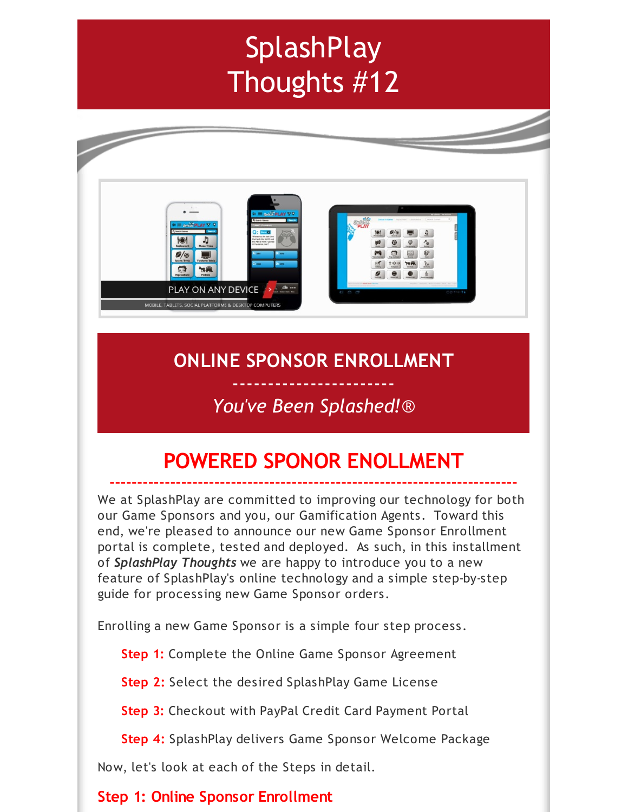# **SplashPlay** Thoughts #12



# **ONLINE SPONSOR ENROLLMENT**

# ----------------------- *You've Been Splashed!*®

# **POWERED SPONOR ENOLLMENT**

**--------------------------------------------------------------------------**

We at SplashPlay are committed to improving our technology for both our Game Sponsors and you, our Gamification Agents. Toward this end, we're pleased to announce our new Game Sponsor Enrollment portal is complete, tested and deployed. As such, in this installment of *SplashPlay Thoughts* we are happy to introduce you to a new feature of SplashPlay's online technology and a simple step-by-step guide for processing new Game Sponsor orders.

Enrolling a new Game Sponsor is a simple four step process.

**Step 1:** Complete the Online Game Sponsor Agreement

**Step 2:** Select the desired SplashPlay Game License

**Step 3:** Checkout with PayPal Credit Card Payment Portal

**Step 4:** SplashPlay delivers Game Sponsor Welcome Package

Now, let's look at each of the Steps in detail.

### **Step 1: Online Sponsor Enrollment**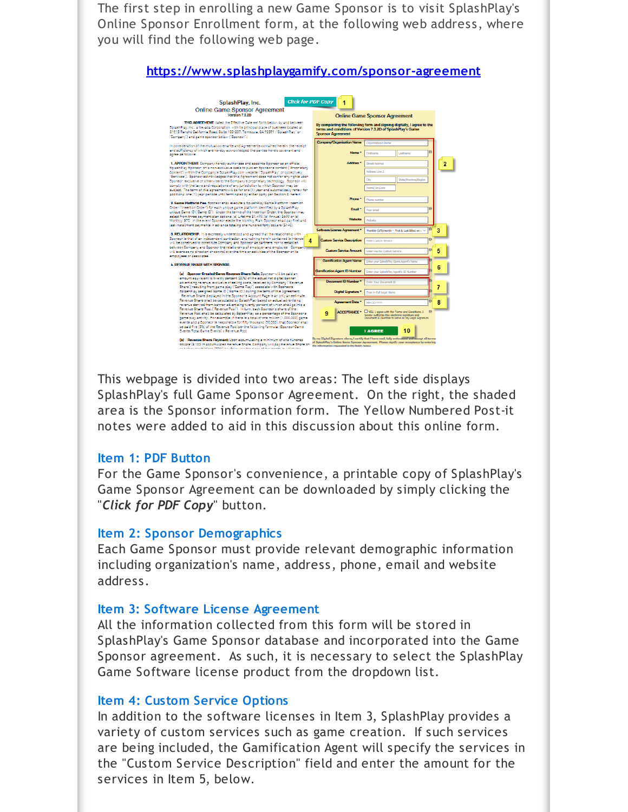The first step in enrolling a new Game Sponsor is to visit SplashPlay's Online Sponsor Enrollment form, at the following web address, where you will find the following web page.

| <b>Click for PDF Copy</b><br>SplashPlay, Inc.                                                                                                                                                                                                                                                             |                                                                                                                                                                   |                                                                                                      |              |
|-----------------------------------------------------------------------------------------------------------------------------------------------------------------------------------------------------------------------------------------------------------------------------------------------------------|-------------------------------------------------------------------------------------------------------------------------------------------------------------------|------------------------------------------------------------------------------------------------------|--------------|
| Online Game Sponsor Agreement                                                                                                                                                                                                                                                                             |                                                                                                                                                                   |                                                                                                      |              |
|                                                                                                                                                                                                                                                                                                           |                                                                                                                                                                   | <b>Online Game Sponsor Agreement</b>                                                                 |              |
|                                                                                                                                                                                                                                                                                                           |                                                                                                                                                                   |                                                                                                      |              |
| THIS AGREEMENT, dated the Effective Date set forth below, by and between<br>SolashPlay, Inc., a Nevada Corporation, with its principal place of business located at<br>31915 Rencho California Road, Suite 100-237, Temecula, CA 92591 ("SolashPlay" or<br>"Company") and game sponsor below ("Sponsor".) | By completing the following form and signing digitally, I agree to the<br>terms and conditions of Version 7.3.2D of SplashPlay's Game<br><b>Sponsor Agreement</b> |                                                                                                      |              |
| In consideration of the mutual covenants and Agreements contained herein, the receipt                                                                                                                                                                                                                     | Company/Organization Name                                                                                                                                         | Consolzation's Name                                                                                  |              |
| and sufficiency of which are hereby acknowledged, the parties hereto covenant and                                                                                                                                                                                                                         |                                                                                                                                                                   |                                                                                                      |              |
| agree as follows:                                                                                                                                                                                                                                                                                         | Name <sup>®</sup>                                                                                                                                                 | Firstname<br>Lastname                                                                                |              |
| 1. APPOINTMENT. Company hereby authorizes and appoints Sponsor as an official                                                                                                                                                                                                                             | Address'                                                                                                                                                          | <b>Street Address</b>                                                                                |              |
| SplashPlay Sponsor, on a non-exclusive basis to publish Sponsor's content ("Proprietary                                                                                                                                                                                                                   |                                                                                                                                                                   |                                                                                                      | 2            |
| Content") within the Company's SplashPlay.com website ("SplashPlay" or collectively                                                                                                                                                                                                                       |                                                                                                                                                                   | <b>Address Line 2</b>                                                                                |              |
| "Services"). Sponsor acknowledges that this Agreement does not confer any rights upon                                                                                                                                                                                                                     |                                                                                                                                                                   | State/Province/Recion<br>Ch                                                                          |              |
| Sponsor, exclusive or otherwise to the Company's proprietary technology. Sponsor will<br>comply with the laws and requlations of any jurisdiction to which Sponsor may be                                                                                                                                 |                                                                                                                                                                   |                                                                                                      |              |
| subject. The term of this agreement will be for one (1) year and automatically renew for                                                                                                                                                                                                                  |                                                                                                                                                                   | <b>Postal/Zip Code</b>                                                                               |              |
| additional one (1) year periods until terminated by either party per Section 8, herein.                                                                                                                                                                                                                   |                                                                                                                                                                   |                                                                                                      |              |
| 2. Geme Platform Fee, Sconsor shall execute a SolashPlay Game Platform Insertion                                                                                                                                                                                                                          | Phone <sup>*</sup>                                                                                                                                                | Phone number                                                                                         |              |
| Order ("Insertion Order") for each unique game platform identified by a SplashPlay                                                                                                                                                                                                                        | Email                                                                                                                                                             | Your email                                                                                           |              |
| unique Game ID ("Game ID"). Under the terms of the Insertion Order, the Sponsor may                                                                                                                                                                                                                       |                                                                                                                                                                   |                                                                                                      |              |
| select from three payment plan options: (a) Lifetime \$1,499. (b) Annual: \$699 or (c)<br>Monthly: \$70. In the event Sponsor elects the Monthly Plan, Sponsor shall pay first and                                                                                                                        | Website                                                                                                                                                           | Website                                                                                              |              |
| last installment payments in advance totaling one hundred forty dollars (\$140).                                                                                                                                                                                                                          |                                                                                                                                                                   |                                                                                                      |              |
|                                                                                                                                                                                                                                                                                                           | Software License Agreement*                                                                                                                                       | Monthly (\$70/month -- First & Last Billed on c ~                                                    | 3            |
| S. RELATIONSHIP. It is expressly understood and agreed that the relationship with<br>Sponsor is that of an independent contractor, and nothing herein contained is intende                                                                                                                                |                                                                                                                                                                   |                                                                                                      |              |
| 4<br>will be construed to constitute Company and Sponsor as partners, nor to establish                                                                                                                                                                                                                    | <b>Custom Service Description</b>                                                                                                                                 | <b>S3</b><br><b>Enter Custom Service</b>                                                             |              |
| between Company and Sponsor the relationship of employer and employee. Company                                                                                                                                                                                                                            | <b>Custom Service Amount</b>                                                                                                                                      |                                                                                                      |              |
| will exercise no direction or control over the time or activities of the Sponsor or its<br>employees or associates.                                                                                                                                                                                       |                                                                                                                                                                   | Enter Fee for Custom Service                                                                         | 5            |
|                                                                                                                                                                                                                                                                                                           | <b>Gamification Agent Name</b>                                                                                                                                    | Enter your SolashPlay Game Agent's Name                                                              |              |
| <b>4. REVENUE SHARE WITH SPONSOR.</b>                                                                                                                                                                                                                                                                     |                                                                                                                                                                   |                                                                                                      | 6            |
| (a) Sponsor Created Game Revenue Share Rate: Sponsor will be paid an                                                                                                                                                                                                                                      | <b>Gamification Agent ID Number</b>                                                                                                                               | Enter your SolashPlay Agent/s ID Number                                                              |              |
| amount equivalent to twenty percent (20%) of the actual net digital banner                                                                                                                                                                                                                                |                                                                                                                                                                   |                                                                                                      |              |
| advertising revenue, exclusive of selling costs, received by Company ("Revenue"                                                                                                                                                                                                                           | <b>Document ID Number</b>                                                                                                                                         | <b>Entre Your Document ID</b>                                                                        |              |
| Share") resulting from game play ("Game Play") associate with Sponsors<br>SplashPlay assigned Game ID ("Game ID") during the term of this Agreement.                                                                                                                                                      | Digital Signature <sup>*</sup>                                                                                                                                    |                                                                                                      | 7            |
| Revenue Share displayed in the Sponsor's Account Page is an only an estimate.                                                                                                                                                                                                                             |                                                                                                                                                                   | Type in Full Legal Name                                                                              |              |
| Revenue Share shall be calculated by SplashPlay based on actual advertising                                                                                                                                                                                                                               | <b>Agreement Date</b>                                                                                                                                             | MM-DO-YWY                                                                                            | $\mathbf{R}$ |
| revenue derived from banner advertising twenty percent of which shall go into a<br>Revenue Share Pool ("Revenue Pool"). In turn, each Sponsor's share of the                                                                                                                                              |                                                                                                                                                                   |                                                                                                      |              |
| Revenue Pool shall be calculated by SplashPlay as a percentage of the Sponsor's                                                                                                                                                                                                                           | 9                                                                                                                                                                 | ACCEPTANCE * THES. I agree with the Terms and Conditions. I<br>$\bigcap$                             |              |
| game play activity. For example: If there is a total of one million (1,000,000) game                                                                                                                                                                                                                      |                                                                                                                                                                   | hereby authorize this electronic signature and<br>Document ID Number to serve as my Legal Signature. |              |
| events and a Sponsor is responsible for fifty thousand (50,000), that Sponsor shall                                                                                                                                                                                                                       |                                                                                                                                                                   |                                                                                                      |              |
| be paid five (5%) of the Revenue Pool per the following formula: (Sponsor Game<br>Events/Total Game Events) x Revenue Pool                                                                                                                                                                                |                                                                                                                                                                   | 10<br><b>I AGREE</b>                                                                                 |              |

This webpage is divided into two areas: The left side displays SplashPlay's full Game Sponsor Agreement. On the right, the shaded area is the Sponsor information form. The Yellow Numbered Post-it notes were added to aid in this discussion about this online form.

#### **Item 1: PDF Button**

For the Game Sponsor's convenience, a printable copy of SplashPlay's Game Sponsor Agreement can be downloaded by simply clicking the "*Click for PDF Copy*" button.

#### **Item 2: Sponsor Demographics**

Each Game Sponsor must provide relevant demographic information including organization's name, address, phone, email and website address.

#### **Item 3: Software License Agreement**

All the information collected from this form will be stored in SplashPlay's Game Sponsor database and incorporated into the Game Sponsor agreement. As such, it is necessary to select the SplashPlay Game Software license product from the dropdown list.

#### **Item 4: Custom Service Options**

In addition to the software licenses in Item 3, SplashPlay provides a variety of custom services such as game creation. If such services are being included, the Gamification Agent will specify the services in the "Custom Service Description" field and enter the amount for the services in Item 5, below.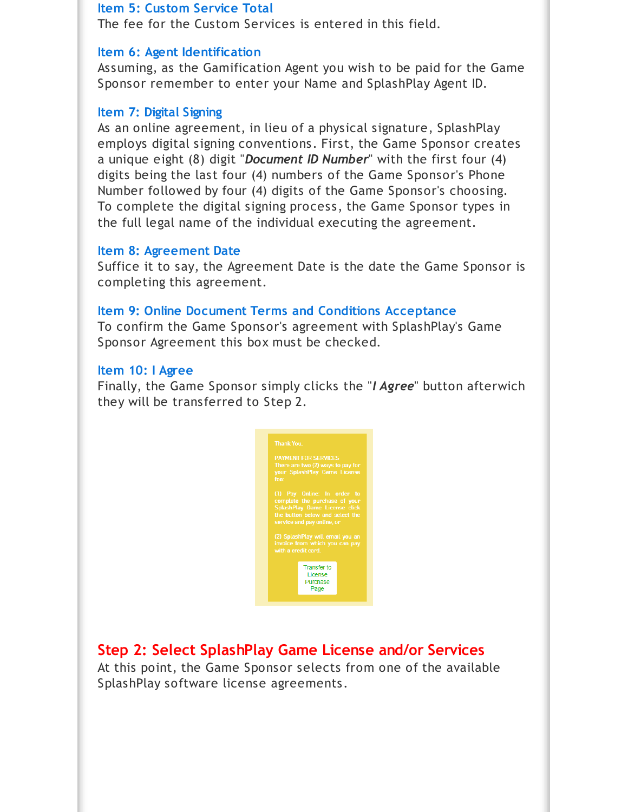#### **Item 5: Custom Service Total**

The fee for the Custom Services is entered in this field.

#### **Item 6: Agent Identification**

Assuming, as the Gamification Agent you wish to be paid for the Game Sponsor remember to enter your Name and SplashPlay Agent ID.

#### **Item 7: Digital Signing**

As an online agreement, in lieu of a physical signature, SplashPlay employs digital signing conventions. First, the Game Sponsor creates a unique eight (8) digit "*Document ID Number*" with the first four (4) digits being the last four (4) numbers of the Game Sponsor's Phone Number followed by four (4) digits of the Game Sponsor's choosing. To complete the digital signing process, the Game Sponsor types in the full legal name of the individual executing the agreement.

#### **Item 8: Agreement Date**

Suffice it to say, the Agreement Date is the date the Game Sponsor is completing this agreement.

#### **Item 9: Online Document Terms and Conditions Acceptance**

To confirm the Game Sponsor's agreement with SplashPlay's Game Sponsor Agreement this box must be checked.

#### **Item 10: I Agree**

Finally, the Game Sponsor simply clicks the "*I Agree*" button afterwich they will be transferred to Step 2.



### **Step 2: Select SplashPlay Game License and/or Services**

At this point, the Game Sponsor selects from one of the available SplashPlay software license agreements.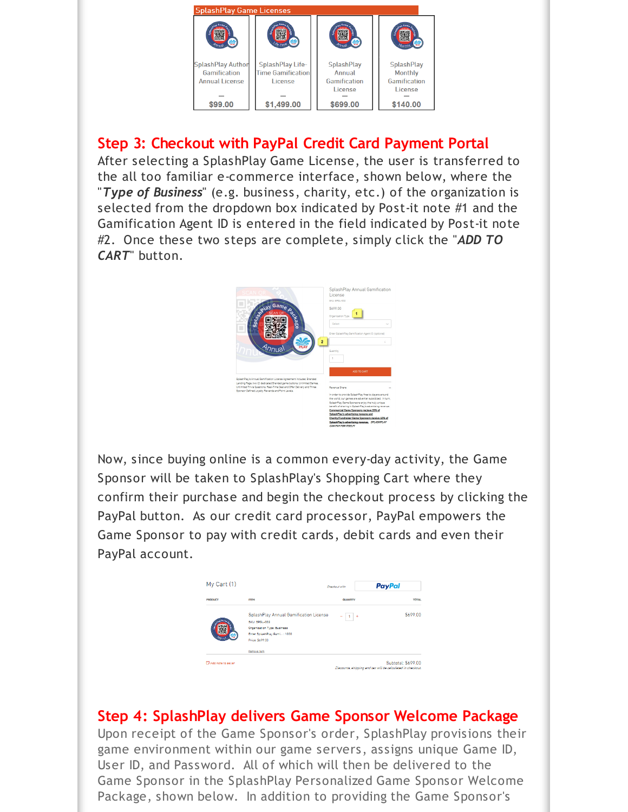

## **Step 3: Checkout with PayPal Credit Card Payment Portal**

After selecting a SplashPlay Game License, the user is transferred to the all too familiar e-commerce interface, shown below, where the "*Type of Business*" (e.g. business, charity, etc.) of the organization is selected from the dropdown box indicated by Post-it note #1 and the Gamification Agent ID is entered in the field indicated by Post-it note #2. Once these two steps are complete, simply click the "*ADD TO CART*" button.



Now, since buying online is a common every-day activity, the Game Sponsor will be taken to SplashPlay's Shopping Cart where they confirm their purchase and begin the checkout process by clicking the PayPal button. As our credit card processor, PayPal empowers the Game Sponsor to pay with credit cards, debit cards and even their PayPal account.



### **Step 4: SplashPlay delivers Game Sponsor Welcome Package**

Upon receipt of the Game Sponsor's order, SplashPlay provisions their game environment within our game servers, assigns unique Game ID, User ID, and Password. All of which will then be delivered to the Game Sponsor in the SplashPlay Personalized Game Sponsor Welcome Package, shown below. In addition to providing the Game Sponsor's